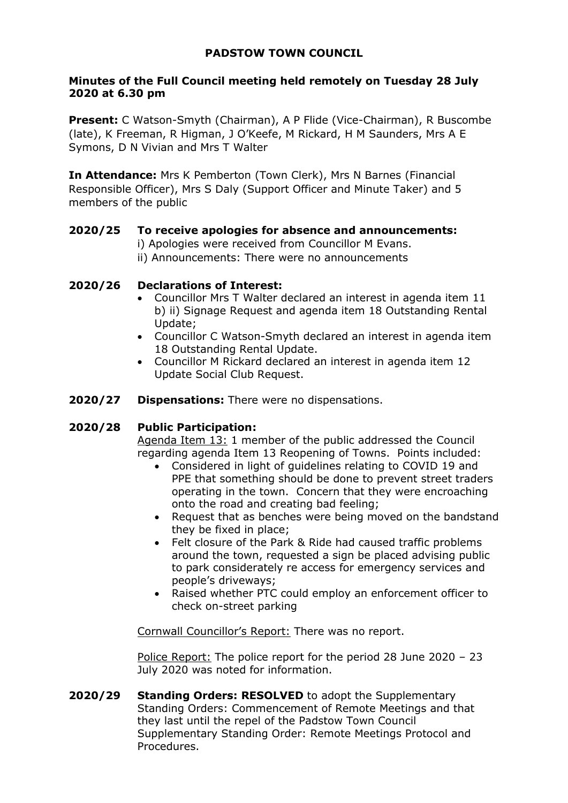# **PADSTOW TOWN COUNCIL**

# **Minutes of the Full Council meeting held remotely on Tuesday 28 July 2020 at 6.30 pm**

**Present:** C Watson-Smyth (Chairman), A P Flide (Vice-Chairman), R Buscombe (late), K Freeman, R Higman, J O'Keefe, M Rickard, H M Saunders, Mrs A E Symons, D N Vivian and Mrs T Walter

**In Attendance:** Mrs K Pemberton (Town Clerk), Mrs N Barnes (Financial Responsible Officer), Mrs S Daly (Support Officer and Minute Taker) and 5 members of the public

# **2020/25 To receive apologies for absence and announcements:**

- i) Apologies were received from Councillor M Evans.
- ii) Announcements: There were no announcements

# **2020/26 Declarations of Interest:**

- Councillor Mrs T Walter declared an interest in agenda item 11 b) ii) Signage Request and agenda item 18 Outstanding Rental Update;
- Councillor C Watson-Smyth declared an interest in agenda item 18 Outstanding Rental Update.
- Councillor M Rickard declared an interest in agenda item 12 Update Social Club Request.
- **2020/27 Dispensations:** There were no dispensations.

## **2020/28 Public Participation:**

Agenda Item 13: 1 member of the public addressed the Council regarding agenda Item 13 Reopening of Towns. Points included:

- Considered in light of guidelines relating to COVID 19 and PPE that something should be done to prevent street traders operating in the town. Concern that they were encroaching onto the road and creating bad feeling;
- Request that as benches were being moved on the bandstand they be fixed in place;
- Felt closure of the Park & Ride had caused traffic problems around the town, requested a sign be placed advising public to park considerately re access for emergency services and people's driveways;
- Raised whether PTC could employ an enforcement officer to check on-street parking

Cornwall Councillor's Report: There was no report.

Police Report: The police report for the period 28 June 2020 - 23 July 2020 was noted for information.

**2020/29 Standing Orders: RESOLVED** to adopt the Supplementary Standing Orders: Commencement of Remote Meetings and that they last until the repel of the Padstow Town Council Supplementary Standing Order: Remote Meetings Protocol and Procedures.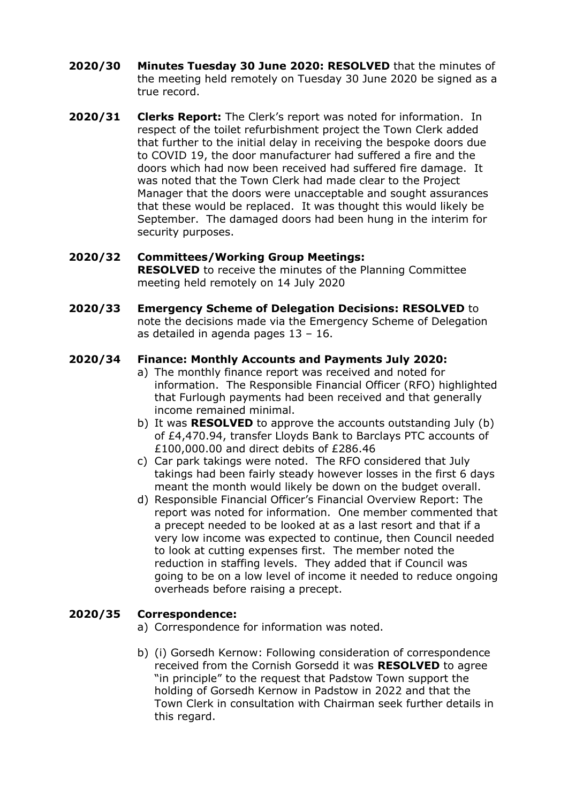- **2020/30 Minutes Tuesday 30 June 2020: RESOLVED** that the minutes of the meeting held remotely on Tuesday 30 June 2020 be signed as a true record.
- **2020/31 Clerks Report:** The Clerk's report was noted for information. In respect of the toilet refurbishment project the Town Clerk added that further to the initial delay in receiving the bespoke doors due to COVID 19, the door manufacturer had suffered a fire and the doors which had now been received had suffered fire damage. It was noted that the Town Clerk had made clear to the Project Manager that the doors were unacceptable and sought assurances that these would be replaced. It was thought this would likely be September. The damaged doors had been hung in the interim for security purposes.

## **2020/32 Committees/Working Group Meetings:**

**RESOLVED** to receive the minutes of the Planning Committee meeting held remotely on 14 July 2020

**2020/33 Emergency Scheme of Delegation Decisions: RESOLVED** to note the decisions made via the Emergency Scheme of Delegation as detailed in agenda pages 13 – 16.

# **2020/34 Finance: Monthly Accounts and Payments July 2020:**

- a) The monthly finance report was received and noted for information. The Responsible Financial Officer (RFO) highlighted that Furlough payments had been received and that generally income remained minimal.
- b) It was **RESOLVED** to approve the accounts outstanding July (b) of £4,470.94, transfer Lloyds Bank to Barclays PTC accounts of £100,000.00 and direct debits of £286.46
- c) Car park takings were noted. The RFO considered that July takings had been fairly steady however losses in the first 6 days meant the month would likely be down on the budget overall.
- d) Responsible Financial Officer's Financial Overview Report: The report was noted for information. One member commented that a precept needed to be looked at as a last resort and that if a very low income was expected to continue, then Council needed to look at cutting expenses first. The member noted the reduction in staffing levels. They added that if Council was going to be on a low level of income it needed to reduce ongoing overheads before raising a precept.

## **2020/35 Correspondence:**

- a) Correspondence for information was noted.
- b) (i) Gorsedh Kernow: Following consideration of correspondence received from the Cornish Gorsedd it was **RESOLVED** to agree "in principle" to the request that Padstow Town support the holding of Gorsedh Kernow in Padstow in 2022 and that the Town Clerk in consultation with Chairman seek further details in this regard.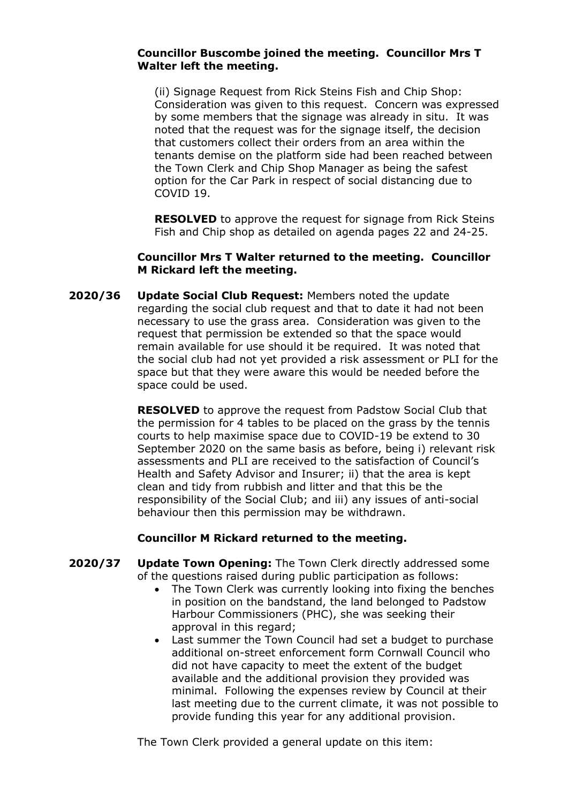#### **Councillor Buscombe joined the meeting. Councillor Mrs T Walter left the meeting.**

(ii) Signage Request from Rick Steins Fish and Chip Shop: Consideration was given to this request. Concern was expressed by some members that the signage was already in situ. It was noted that the request was for the signage itself, the decision that customers collect their orders from an area within the tenants demise on the platform side had been reached between the Town Clerk and Chip Shop Manager as being the safest option for the Car Park in respect of social distancing due to COVID 19.

**RESOLVED** to approve the request for signage from Rick Steins Fish and Chip shop as detailed on agenda pages 22 and 24-25.

#### **Councillor Mrs T Walter returned to the meeting. Councillor M Rickard left the meeting.**

**2020/36 Update Social Club Request:** Members noted the update regarding the social club request and that to date it had not been necessary to use the grass area. Consideration was given to the request that permission be extended so that the space would remain available for use should it be required. It was noted that the social club had not yet provided a risk assessment or PLI for the space but that they were aware this would be needed before the space could be used.

> **RESOLVED** to approve the request from Padstow Social Club that the permission for 4 tables to be placed on the grass by the tennis courts to help maximise space due to COVID-19 be extend to 30 September 2020 on the same basis as before, being i) relevant risk assessments and PLI are received to the satisfaction of Council's Health and Safety Advisor and Insurer; ii) that the area is kept clean and tidy from rubbish and litter and that this be the responsibility of the Social Club; and iii) any issues of anti-social behaviour then this permission may be withdrawn.

## **Councillor M Rickard returned to the meeting.**

- **2020/37 Update Town Opening:** The Town Clerk directly addressed some of the questions raised during public participation as follows:
	- The Town Clerk was currently looking into fixing the benches in position on the bandstand, the land belonged to Padstow Harbour Commissioners (PHC), she was seeking their approval in this regard;
	- Last summer the Town Council had set a budget to purchase additional on-street enforcement form Cornwall Council who did not have capacity to meet the extent of the budget available and the additional provision they provided was minimal. Following the expenses review by Council at their last meeting due to the current climate, it was not possible to provide funding this year for any additional provision.

The Town Clerk provided a general update on this item: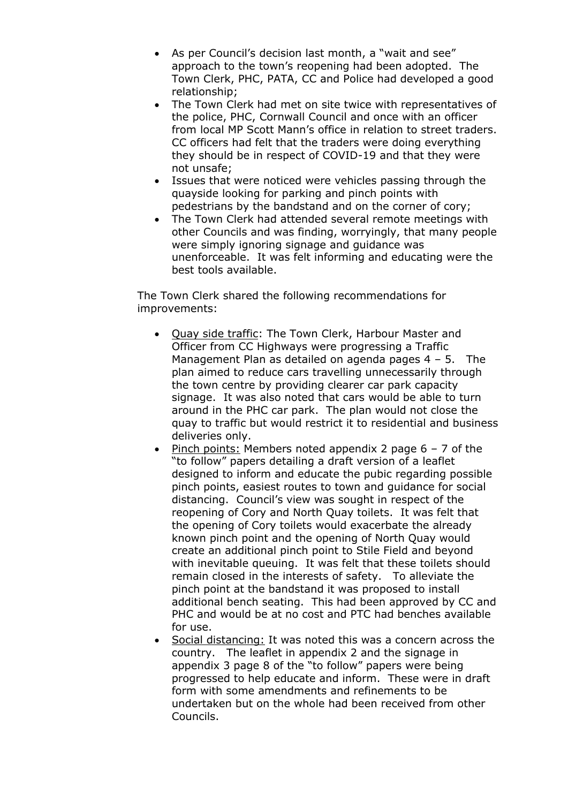- As per Council's decision last month, a "wait and see" approach to the town's reopening had been adopted. The Town Clerk, PHC, PATA, CC and Police had developed a good relationship;
- The Town Clerk had met on site twice with representatives of the police, PHC, Cornwall Council and once with an officer from local MP Scott Mann's office in relation to street traders. CC officers had felt that the traders were doing everything they should be in respect of COVID-19 and that they were not unsafe;
- Issues that were noticed were vehicles passing through the quayside looking for parking and pinch points with pedestrians by the bandstand and on the corner of cory;
- The Town Clerk had attended several remote meetings with other Councils and was finding, worryingly, that many people were simply ignoring signage and guidance was unenforceable. It was felt informing and educating were the best tools available.

The Town Clerk shared the following recommendations for improvements:

- Quay side traffic: The Town Clerk, Harbour Master and Officer from CC Highways were progressing a Traffic Management Plan as detailed on agenda pages 4 – 5. The plan aimed to reduce cars travelling unnecessarily through the town centre by providing clearer car park capacity signage. It was also noted that cars would be able to turn around in the PHC car park. The plan would not close the quay to traffic but would restrict it to residential and business deliveries only.
- Pinch points: Members noted appendix 2 page 6 7 of the "to follow" papers detailing a draft version of a leaflet designed to inform and educate the pubic regarding possible pinch points, easiest routes to town and guidance for social distancing. Council's view was sought in respect of the reopening of Cory and North Quay toilets. It was felt that the opening of Cory toilets would exacerbate the already known pinch point and the opening of North Quay would create an additional pinch point to Stile Field and beyond with inevitable queuing. It was felt that these toilets should remain closed in the interests of safety. To alleviate the pinch point at the bandstand it was proposed to install additional bench seating. This had been approved by CC and PHC and would be at no cost and PTC had benches available for use.
- Social distancing: It was noted this was a concern across the country. The leaflet in appendix 2 and the signage in appendix 3 page 8 of the "to follow" papers were being progressed to help educate and inform. These were in draft form with some amendments and refinements to be undertaken but on the whole had been received from other Councils.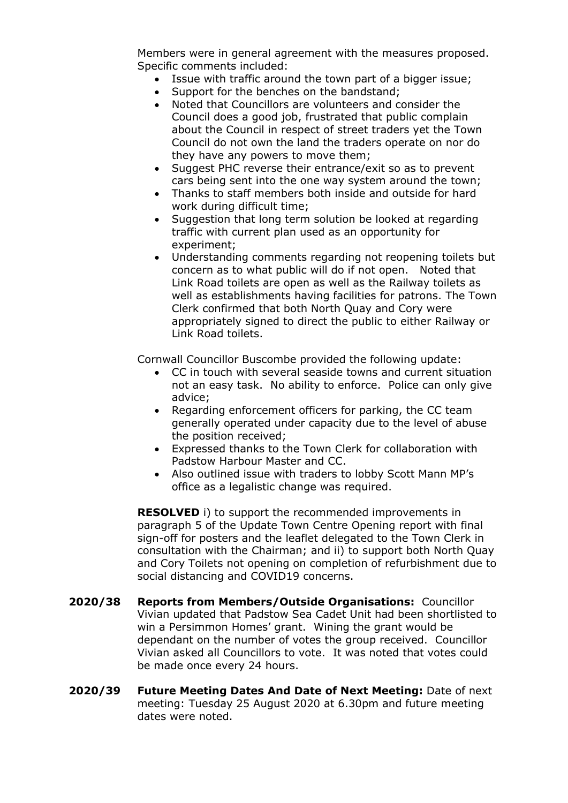Members were in general agreement with the measures proposed. Specific comments included:

- Issue with traffic around the town part of a bigger issue;
- Support for the benches on the bandstand;
- Noted that Councillors are volunteers and consider the Council does a good job, frustrated that public complain about the Council in respect of street traders yet the Town Council do not own the land the traders operate on nor do they have any powers to move them;
- Suggest PHC reverse their entrance/exit so as to prevent cars being sent into the one way system around the town;
- Thanks to staff members both inside and outside for hard work during difficult time;
- Suggestion that long term solution be looked at regarding traffic with current plan used as an opportunity for experiment;
- Understanding comments regarding not reopening toilets but concern as to what public will do if not open. Noted that Link Road toilets are open as well as the Railway toilets as well as establishments having facilities for patrons. The Town Clerk confirmed that both North Quay and Cory were appropriately signed to direct the public to either Railway or Link Road toilets.

Cornwall Councillor Buscombe provided the following update:

- CC in touch with several seaside towns and current situation not an easy task. No ability to enforce. Police can only give advice;
- Regarding enforcement officers for parking, the CC team generally operated under capacity due to the level of abuse the position received;
- Expressed thanks to the Town Clerk for collaboration with Padstow Harbour Master and CC.
- Also outlined issue with traders to lobby Scott Mann MP's office as a legalistic change was required.

**RESOLVED** i) to support the recommended improvements in paragraph 5 of the Update Town Centre Opening report with final sign-off for posters and the leaflet delegated to the Town Clerk in consultation with the Chairman; and ii) to support both North Quay and Cory Toilets not opening on completion of refurbishment due to social distancing and COVID19 concerns.

- **2020/38 Reports from Members/Outside Organisations:** Councillor Vivian updated that Padstow Sea Cadet Unit had been shortlisted to win a Persimmon Homes' grant. Wining the grant would be dependant on the number of votes the group received. Councillor Vivian asked all Councillors to vote. It was noted that votes could be made once every 24 hours.
- **2020/39 Future Meeting Dates And Date of Next Meeting:** Date of next meeting: Tuesday 25 August 2020 at 6.30pm and future meeting dates were noted.